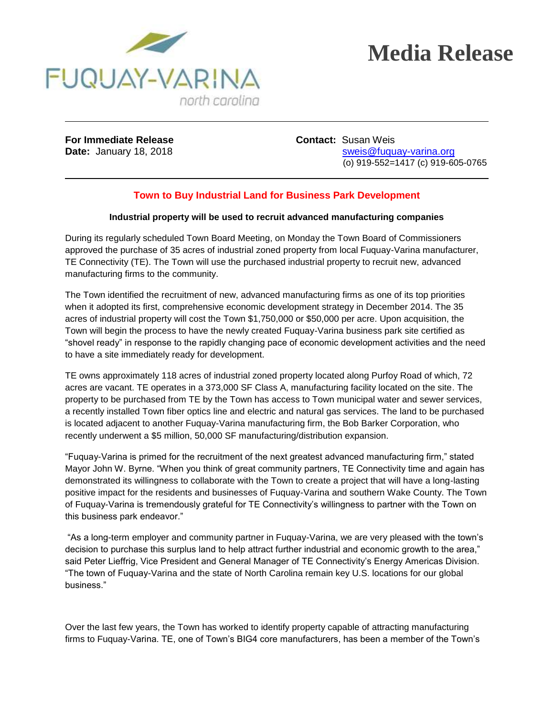

## **Media Release**

**For Immediate Release <b>Contact:** Susan Weis

**Date:** January 18, 2018 **State:** State: State: Sweis@fuquay-varina.org (o) 919-552=1417 (c) 919-605-0765

## **Town to Buy Industrial Land for Business Park Development**

## **Industrial property will be used to recruit advanced manufacturing companies**

During its regularly scheduled Town Board Meeting, on Monday the Town Board of Commissioners approved the purchase of 35 acres of industrial zoned property from local Fuquay-Varina manufacturer, TE Connectivity (TE). The Town will use the purchased industrial property to recruit new, advanced manufacturing firms to the community.

The Town identified the recruitment of new, advanced manufacturing firms as one of its top priorities when it adopted its first, comprehensive economic development strategy in December 2014. The 35 acres of industrial property will cost the Town \$1,750,000 or \$50,000 per acre. Upon acquisition, the Town will begin the process to have the newly created Fuquay-Varina business park site certified as "shovel ready" in response to the rapidly changing pace of economic development activities and the need to have a site immediately ready for development.

TE owns approximately 118 acres of industrial zoned property located along Purfoy Road of which, 72 acres are vacant. TE operates in a 373,000 SF Class A, manufacturing facility located on the site. The property to be purchased from TE by the Town has access to Town municipal water and sewer services, a recently installed Town fiber optics line and electric and natural gas services. The land to be purchased is located adjacent to another Fuquay-Varina manufacturing firm, the Bob Barker Corporation, who recently underwent a \$5 million, 50,000 SF manufacturing/distribution expansion.

"Fuquay-Varina is primed for the recruitment of the next greatest advanced manufacturing firm," stated Mayor John W. Byrne. "When you think of great community partners, TE Connectivity time and again has demonstrated its willingness to collaborate with the Town to create a project that will have a long-lasting positive impact for the residents and businesses of Fuquay-Varina and southern Wake County. The Town of Fuquay-Varina is tremendously grateful for TE Connectivity's willingness to partner with the Town on this business park endeavor."

"As a long-term employer and community partner in Fuquay-Varina, we are very pleased with the town's decision to purchase this surplus land to help attract further industrial and economic growth to the area," said Peter Lieffrig, Vice President and General Manager of TE Connectivity's Energy Americas Division. "The town of Fuquay-Varina and the state of North Carolina remain key U.S. locations for our global business."

Over the last few years, the Town has worked to identify property capable of attracting manufacturing firms to Fuquay-Varina. TE, one of Town's BIG4 core manufacturers, has been a member of the Town's